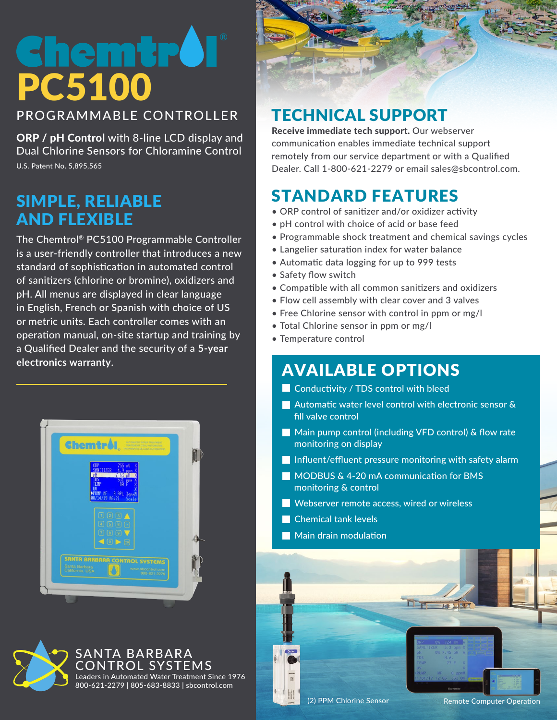# PC5100

PROGRAMMABLE CONTROLLER

ORP / pH Control with 8-line LCD display and Dual Chlorine Sensors for Chloramine Control U.S. Patent No. 5,895,565

### SIMPLE, RELIABLE AND FLEXIBLE

The Chemtrol® PC5100 Programmable Controller is a user-friendly controller that introduces a new standard of sophistication in automated control of sanitizers (chlorine or bromine), oxidizers and pH. All menus are displayed in clear language in English, French or Spanish with choice of US or metric units. Each controller comes with an operation manual, on-site startup and training by a Qualified Dealer and the security of a **5-year electronics warranty**.





## TECHNICAL SUPPORT

Receive immediate tech support. Our webserver communication enables immediate technical support remotely from our service department or with a Qualified Dealer. Call 1-800-621-2279 or email sales@sbcontrol.com.

# STANDARD FEATURES

- ORP control of sanitizer and/or oxidizer activity
- pH control with choice of acid or base feed
- Programmable shock treatment and chemical savings cycles
- Langelier saturation index for water balance
- Automatic data logging for up to 999 tests
- Safety flow switch
- Compatible with all common sanitizers and oxidizers
- Flow cell assembly with clear cover and 3 valves
- Free Chlorine sensor with control in ppm or mg/l
- Total Chlorine sensor in ppm or mg/l
- Temperature control

# AVAILABLE OPTIONS

- **Conductivity / TDS control with bleed**
- **Automatic water level control with electronic sensor &** fill valve control
- Main pump control (including VFD control) & flow rate monitoring on display
- Influent/effluent pressure monitoring with safety alarm

TT

- MODBUS & 4-20 mA communication for BMS monitoring & control
- Webserver remote access, wired or wireless
- Chemical tank levels
- **Main drain modulation**